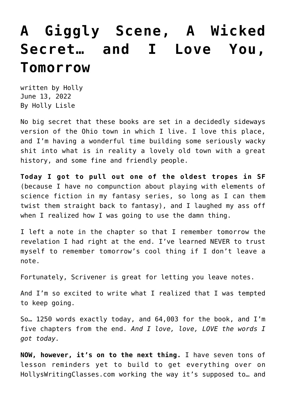# **[A Giggly Scene, A Wicked](https://hollylisle.com/a-giggly-scene-a-wicked-secret-and-i-love-you-tomorrow/) [Secret… and I Love You,](https://hollylisle.com/a-giggly-scene-a-wicked-secret-and-i-love-you-tomorrow/) [Tomorrow](https://hollylisle.com/a-giggly-scene-a-wicked-secret-and-i-love-you-tomorrow/)**

written by Holly June 13, 2022 [By Holly Lisle](https://hollylisle.com)

No big secret that these books are set in a decidedly sideways version of the Ohio town in which I live. I love this place, and I'm having a wonderful time building some seriously wacky shit into what is in reality a lovely old town with a great history, and some fine and friendly people.

**Today I got to pull out one of the oldest tropes in SF** (because I have no compunction about playing with elements of science fiction in my fantasy series, so long as I can them twist them straight back to fantasy), and I laughed my ass off when I realized how I was going to use the damn thing.

I left a note in the chapter so that I remember tomorrow the revelation I had right at the end. I've learned NEVER to trust myself to remember tomorrow's cool thing if I don't leave a note.

Fortunately, Scrivener is great for letting you leave notes.

And I'm so excited to write what I realized that I was tempted to keep going.

So… 1250 words exactly today, and 64,003 for the book, and I'm five chapters from the end. *And I love, love, LOVE the words I got today.*

**NOW, however, it's on to the next thing.** I have seven tons of lesson reminders yet to build to get everything over on [HollysWritingClasses.com](https://hollyswritingclasses.com/) working the way it's supposed to… and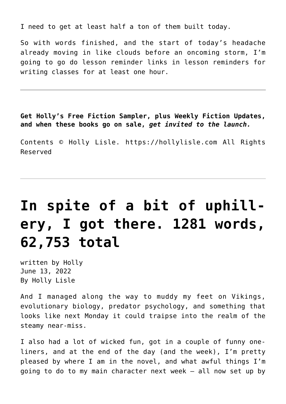I need to get at least half a ton of them built today.

So with words finished, and the start of today's headache already moving in like clouds before an oncoming storm, I'm going to go do lesson reminder links in lesson reminders for writing classes for at least one hour.

**Get Holly's Free Fiction Sampler, plus Weekly Fiction Updates, and when these books go on sale,** *get invited to the launch.*

Contents © Holly Lisle. <https://hollylisle.com> All Rights Reserved

# **[In spite of a bit of uphill](https://hollylisle.com/in-spite-of-a-bit-of-uphill-ery-i-got-there-1281-words-62753-total/)[ery, I got there. 1281 words,](https://hollylisle.com/in-spite-of-a-bit-of-uphill-ery-i-got-there-1281-words-62753-total/) [62,753 total](https://hollylisle.com/in-spite-of-a-bit-of-uphill-ery-i-got-there-1281-words-62753-total/)**

written by Holly June 13, 2022 [By Holly Lisle](https://hollylisle.com)

And I managed along the way to muddy my feet on Vikings, evolutionary biology, predator psychology, and something that looks like next Monday it could traipse into the realm of the steamy near-miss.

I also had a lot of wicked fun, got in a couple of funny oneliners, and at the end of the day (and the week), I'm pretty pleased by where I am in the novel, and what awful things I'm going to do to my main character next week — all now set up by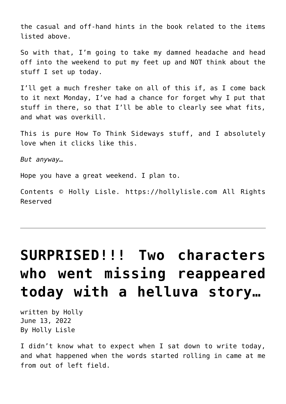the casual and off-hand hints in the book related to the items listed above.

So with that, I'm going to take my damned headache and head off into the weekend to put my feet up and NOT think about the stuff I set up today.

I'll get a much fresher take on all of this if, as I come back to it next Monday, I've had a chance for forget why I put that stuff in there, so that I'll be able to clearly see what fits, and what was overkill.

This is pure How To Think Sideways stuff, and I absolutely love when it clicks like this.

*But anyway…*

Hope you have a great weekend. I plan to.

Contents © Holly Lisle. <https://hollylisle.com> All Rights Reserved

# **[SURPRISED!!! Two characters](https://hollylisle.com/surprised-two-characters-who-went-missing-reappeared-today-with-a-helluva-story/) [who went missing reappeared](https://hollylisle.com/surprised-two-characters-who-went-missing-reappeared-today-with-a-helluva-story/) [today with a helluva story…](https://hollylisle.com/surprised-two-characters-who-went-missing-reappeared-today-with-a-helluva-story/)**

written by Holly June 13, 2022 [By Holly Lisle](https://hollylisle.com)

I didn't know what to expect when I sat down to write today, and what happened when the words started rolling in came at me from out of left field.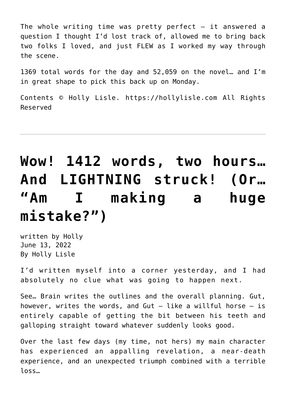The whole writing time was pretty perfect  $-$  it answered a question I thought I'd lost track of, allowed me to bring back two folks I loved, and just FLEW as I worked my way through the scene.

1369 total words for the day and 52,059 on the novel… and I'm in great shape to pick this back up on Monday.

Contents © Holly Lisle. <https://hollylisle.com> All Rights Reserved

# **[Wow! 1412 words, two hours…](https://hollylisle.com/wow-1412-words-two-hours-and-lightning-struck-or-am-i-making-a-huge-mistake/) [And LIGHTNING struck! \(Or…](https://hollylisle.com/wow-1412-words-two-hours-and-lightning-struck-or-am-i-making-a-huge-mistake/) ["Am I making a huge](https://hollylisle.com/wow-1412-words-two-hours-and-lightning-struck-or-am-i-making-a-huge-mistake/) [mistake?"\)](https://hollylisle.com/wow-1412-words-two-hours-and-lightning-struck-or-am-i-making-a-huge-mistake/)**

written by Holly June 13, 2022 [By Holly Lisle](https://hollylisle.com)

I'd written myself into a corner yesterday, and I had absolutely no clue what was going to happen next.

See… Brain writes the outlines and the overall planning. Gut, however, writes the words, and Gut  $-$  like a willful horse  $-$  is entirely capable of getting the bit between his teeth and galloping straight toward whatever suddenly looks good.

Over the last few days (my time, not hers) my main character has experienced an appalling revelation, a near-death experience, and an unexpected triumph combined with a terrible loss…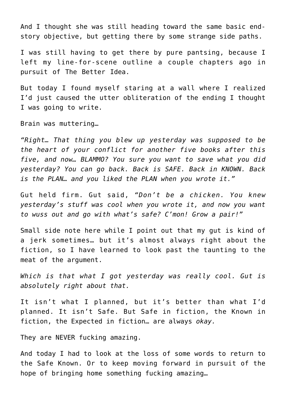And I thought she was still heading toward the same basic endstory objective, but getting there by some strange side paths.

I was still having to get there by pure pantsing, because I left my line-for-scene outline a couple chapters ago in pursuit of The Better Idea.

But today I found myself staring at a wall where I realized I'd just caused the utter obliteration of the ending I thought I was going to write.

Brain was muttering…

*"Right… That thing you blew up yesterday was supposed to be the heart of your conflict for another five books after this five, and now… BLAMMO? You sure you want to save what you did yesterday? You can go back. Back is SAFE. Back in KNOWN. Back is the PLAN… and you liked the PLAN when you wrote it."*

Gut held firm. Gut said, *"Don't be a chicken. You knew yesterday's stuff was cool when you wrote it, and now you want to wuss out and go with what's safe? C'mon! Grow a pair!"* 

Small side note here while I point out that my gut is kind of a jerk sometimes… but it's almost always right about the fiction, so I have learned to look past the taunting to the meat of the argument.

*Which is that what I got yesterday was really cool. Gut is absolutely right about that.*

It isn't what I planned, but it's better than what I'd planned. It isn't Safe. But Safe in fiction, the Known in fiction, the Expected in fiction… are always *okay.*

They are NEVER fucking amazing.

And today I had to look at the loss of some words to return to the Safe Known. Or to keep moving forward in pursuit of the hope of bringing home something fucking amazing…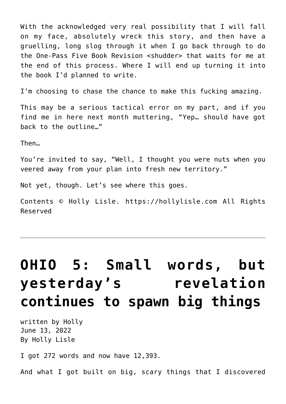With the acknowledged very real possibility that I will fall on my face, absolutely wreck this story, and then have a gruelling, long slog through it when I go back through to do the One-Pass Five Book Revision <shudder> that waits for me at the end of this process. Where I will end up turning it into the book I'd planned to write.

I'm choosing to chase the chance to make this fucking amazing.

This may be a serious tactical error on my part, and if you find me in here next month muttering, "Yep… should have got back to the outline…"

Then…

You're invited to say, "Well, I thought you were nuts when you veered away from your plan into fresh new territory."

Not yet, though. Let's see where this goes.

Contents © Holly Lisle. <https://hollylisle.com> All Rights Reserved

# **[OHIO 5: Small words, but](https://hollylisle.com/ohio-5-small-words-but-yesterdays-revelation-continues-to-spawn-big-things/) [yesterday's revelation](https://hollylisle.com/ohio-5-small-words-but-yesterdays-revelation-continues-to-spawn-big-things/) [continues to spawn big things](https://hollylisle.com/ohio-5-small-words-but-yesterdays-revelation-continues-to-spawn-big-things/)**

written by Holly June 13, 2022 [By Holly Lisle](https://hollylisle.com)

I got 272 words and now have 12,393.

And what I got built on big, scary things that I discovered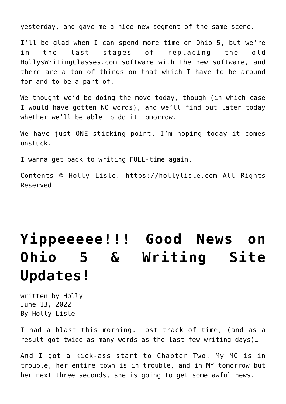yesterday, and gave me a nice new segment of the same scene.

I'll be glad when I can spend more time on Ohio 5, but we're in the last stages of replacing the old HollysWritingClasses.com software with the new software, and there are a ton of things on that which I have to be around for and to be a part of.

We thought we'd be doing the move today, though (in which case I would have gotten NO words), and we'll find out later today whether we'll be able to do it tomorrow.

We have just ONE sticking point. I'm hoping today it comes unstuck.

I wanna get back to writing FULL-time again.

Contents © Holly Lisle. <https://hollylisle.com> All Rights Reserved

# **[Yippeeeee!!! Good News on](https://hollylisle.com/yippeeeee-good-on-ohio-5-writing-site-updates/) [Ohio 5 & Writing Site](https://hollylisle.com/yippeeeee-good-on-ohio-5-writing-site-updates/) [Updates!](https://hollylisle.com/yippeeeee-good-on-ohio-5-writing-site-updates/)**

written by Holly June 13, 2022 [By Holly Lisle](https://hollylisle.com)

I had a blast this morning. Lost track of time, (and as a result got twice as many words as the last few writing days)…

And I got a kick-ass start to Chapter Two. My MC is in trouble, her entire town is in trouble, and in MY tomorrow but her next three seconds, she is going to get some awful news.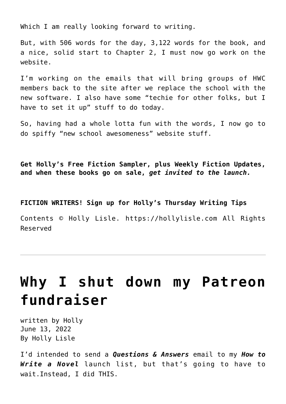Which I am really looking forward to writing.

But, with 506 words for the day, 3,122 words for the book, and a nice, solid start to Chapter 2, I must now go work on the website.

I'm working on the emails that will bring groups of HWC members back to the site after we replace the school with the new software. I also have some "techie for other folks, but I have to set it up" stuff to do today.

So, having had a whole lotta fun with the words, I now go to do spiffy "new school awesomeness" website stuff.

**Get Holly's Free Fiction Sampler, plus Weekly Fiction Updates, and when these books go on sale,** *get invited to the launch.*

**FICTION WRITERS! Sign up for Holly's Thursday Writing Tips**

Contents © Holly Lisle. <https://hollylisle.com> All Rights Reserved

# **[Why I shut down my Patreon](https://hollylisle.com/why-i-shut-down-my-patreon-fundraiser/) [fundraiser](https://hollylisle.com/why-i-shut-down-my-patreon-fundraiser/)**

written by Holly June 13, 2022 [By Holly Lisle](https://hollylisle.com)

I'd intended to send a *Questions & Answers* email to my *[How to](http://hollyswritingclasses.com/class/how-to-write-a-novel.html) [Write a Novel](http://hollyswritingclasses.com/class/how-to-write-a-novel.html)* launch list, but that's going to have to wait.Instead, I did THIS.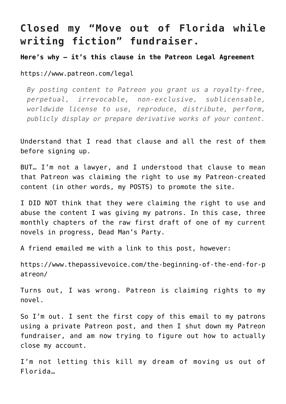### **Closed my "Move out of Florida while writing fiction" fundraiser.**

**Here's why — it's this clause in the Patreon Legal Agreement**

<https://www.patreon.com/legal>

*By posting content to Patreon you grant us a royalty-free, perpetual, irrevocable, non-exclusive, sublicensable, worldwide license to use, reproduce, distribute, perform, publicly display or prepare derivative works of your content.*

Understand that I read that clause and all the rest of them before signing up.

BUT… I'm not a lawyer, and I understood that clause to mean that Patreon was claiming the right to use my Patreon-created content (in other words, my POSTS) to promote the site.

I DID NOT think that they were claiming the right to use and abuse the content I was giving my patrons. In this case, three monthly chapters of the raw first draft of one of my current novels in progress, Dead Man's Party.

A friend emailed me with a link to this post, however:

[https://www.thepassivevoice.com/the-beginning-of-the-end-for-p](https://www.thepassivevoice.com/the-beginning-of-the-end-for-patreon/) [atreon/](https://www.thepassivevoice.com/the-beginning-of-the-end-for-patreon/)

Turns out, I was wrong. Patreon is claiming rights to my novel.

So I'm out. I sent the first copy of this email to my patrons using a private Patreon post, and then I shut down my Patreon fundraiser, and am now trying to figure out how to actually close my account.

I'm not letting this kill my dream of moving us out of Florida…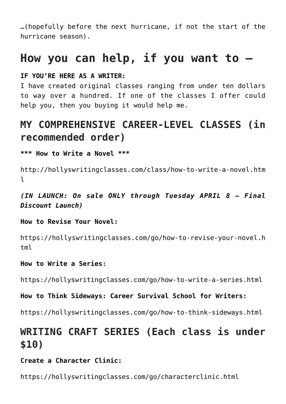…(hopefully before the next hurricane, if not the start of the hurricane season).

## **How you can help, if you want to —**

#### **IF YOU'RE HERE AS A WRITER:**

I have created original classes ranging from under ten dollars to way over a hundred. If one of the classes I offer could help you, then you buying it would help me.

## **MY COMPREHENSIVE CAREER-LEVEL CLASSES (in recommended order)**

**\*\*\* How to Write a Novel \*\*\*** 

[http://hollyswritingclasses.com/class/how-to-write-a-novel.htm](http://hollyswritingclasses.com/class/how-to-write-a-novel.html)  $\mathbf{1}$ 

*(IN LAUNCH: On sale ONLY through Tuesday APRIL 8 — Final Discount Launch)*

**How to Revise Your Novel:** 

[https://hollyswritingclasses.com/go/how-to-revise-your-novel.h](https://hollyswritingclasses.com/go/how-to-revise-your-novel.html) [tml](https://hollyswritingclasses.com/go/how-to-revise-your-novel.html)

#### **How to Write a Series:**

[https://hollyswritingclasses.com/go/how-to-write-a-series.html](https://hollyswritingclasses.com/go/how-to-revise-your-novel.html)

**How to Think Sideways: Career Survival School for Writers:** 

<https://hollyswritingclasses.com/go/how-to-think-sideways.html>

## **WRITING CRAFT SERIES (Each class is under \$10)**

#### **Create a Character Clinic:**

<https://hollyswritingclasses.com/go/characterclinic.html>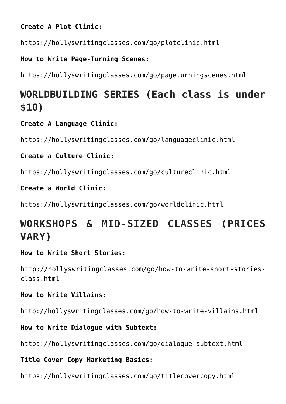**Create A Plot Clinic:** 

<https://hollyswritingclasses.com/go/plotclinic.html>

**How to Write Page-Turning Scenes:** 

<https://hollyswritingclasses.com/go/pageturningscenes.html>

## **WORLDBUILDING SERIES (Each class is under \$10)**

#### **Create A Language Clinic:**

<https://hollyswritingclasses.com/go/languageclinic.html>

#### **Create a Culture Clinic:**

<https://hollyswritingclasses.com/go/cultureclinic.html>

#### **Create a World Clinic:**

<https://hollyswritingclasses.com/go/worldclinic.html>

## **WORKSHOPS & MID-SIZED CLASSES (PRICES VARY)**

#### **How to Write Short Stories:**

[http://hollyswritingclasses.com/go/how-to-write-short-stories](http://hollyswritingclasses.com/go/how-to-write-short-stories-class.html)[class.html](http://hollyswritingclasses.com/go/how-to-write-short-stories-class.html)

#### **How to Write Villains:**

<http://hollyswritingclasses.com/go/how-to-write-villains.html>

#### **How to Write Dialogue with Subtext:**

<https://hollyswritingclasses.com/go/dialogue-subtext.html>

#### **Title Cover Copy Marketing Basics:**

<https://hollyswritingclasses.com/go/titlecovercopy.html>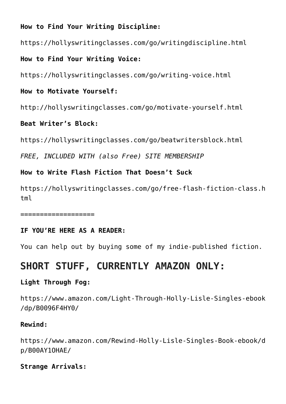#### **How to Find Your Writing Discipline:**

<https://hollyswritingclasses.com/go/writingdiscipline.html>

**How to Find Your Writing Voice:** 

<https://hollyswritingclasses.com/go/writing-voice.html>

#### **How to Motivate Yourself:**

<http://hollyswritingclasses.com/go/motivate-yourself.html>

#### **Beat Writer's Block:**

<https://hollyswritingclasses.com/go/beatwritersblock.html>

*FREE, INCLUDED WITH (also Free) SITE MEMBERSHIP*

#### **How to Write Flash Fiction That Doesn't Suck**

[https://hollyswritingclasses.com/go/free-flash-fiction-class.h](https://hollyswritingclasses.com/go/free-flash-fiction-class.html) [tml](https://hollyswritingclasses.com/go/free-flash-fiction-class.html)

===================

#### **IF YOU'RE HERE AS A READER:**

You can help out by buying some of my indie-published fiction.

### **SHORT STUFF, CURRENTLY AMAZON ONLY:**

#### **Light Through Fog:**

[https://www.amazon.com/Light-Through-Holly-Lisle-Singles-ebook](https://www.amazon.com/Light-Through-Holly-Lisle-Singles-ebook/dp/B0096F4HY0/) [/dp/B0096F4HY0/](https://www.amazon.com/Light-Through-Holly-Lisle-Singles-ebook/dp/B0096F4HY0/)

#### **Rewind:**

[https://www.amazon.com/Rewind-Holly-Lisle-Singles-Book-ebook/d](https://www.amazon.com/Rewind-Holly-Lisle-Singles-Book-ebook/dp/B00AY1OHAE/) [p/B00AY1OHAE/](https://www.amazon.com/Rewind-Holly-Lisle-Singles-Book-ebook/dp/B00AY1OHAE/)

#### **Strange Arrivals:**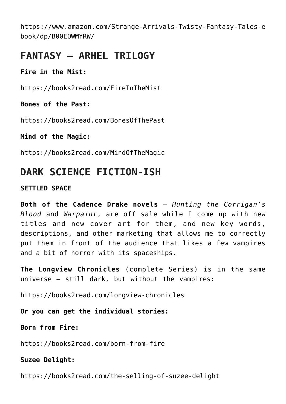[https://www.amazon.com/Strange-Arrivals-Twisty-Fantasy-Tales-e](https://www.amazon.com/Strange-Arrivals-Twisty-Fantasy-Tales-ebook/dp/B00EOWMYRW/) [book/dp/B00EOWMYRW/](https://www.amazon.com/Strange-Arrivals-Twisty-Fantasy-Tales-ebook/dp/B00EOWMYRW/)

### **FANTASY – ARHEL TRILOGY**

#### **Fire in the Mist:**

<https://books2read.com/FireInTheMist>

#### **Bones of the Past:**

<https://books2read.com/BonesOfThePast>

#### **Mind of the Magic:**

<https://books2read.com/MindOfTheMagic>

### **DARK SCIENCE FICTION-ISH**

#### **SETTLED SPACE**

**Both of the Cadence Drake novels** — *Hunting the Corrigan's Blood* and *Warpaint*, are off sale while I come up with new titles and new cover art for them, and new key words, descriptions, and other marketing that allows me to correctly put them in front of the audience that likes a few vampires and a bit of horror with its spaceships.

**The Longview Chronicles** (complete Series) is in the same universe — still dark, but without the vampires:

<https://books2read.com/longview-chronicles>

**Or you can get the individual stories:**

**Born from Fire:** 

<https://books2read.com/born-from-fire>

#### **Suzee Delight:**

<https://books2read.com/the-selling-of-suzee-delight>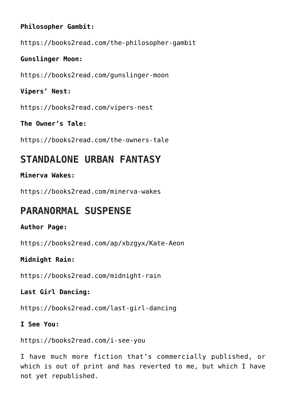#### **Philosopher Gambit:**

<https://books2read.com/the-philosopher-gambit>

#### **Gunslinger Moon:**

<https://books2read.com/gunslinger-moon>

**Vipers' Nest:** 

<https://books2read.com/vipers-nest>

**The Owner's Tale:** 

<https://books2read.com/the-owners-tale>

### **STANDALONE URBAN FANTASY**

#### **Minerva Wakes:**

<https://books2read.com/minerva-wakes>

### **PARANORMAL SUSPENSE**

#### **Author Page:**

<https://books2read.com/ap/xbzgyx/Kate-Aeon>

#### **Midnight Rain:**

<https://books2read.com/midnight-rain>

#### **Last Girl Dancing:**

<https://books2read.com/last-girl-dancing>

#### **I See You:**

<https://books2read.com/i-see-you>

I have much more fiction that's commercially published, or which is out of print and has reverted to me, but which I have not yet republished.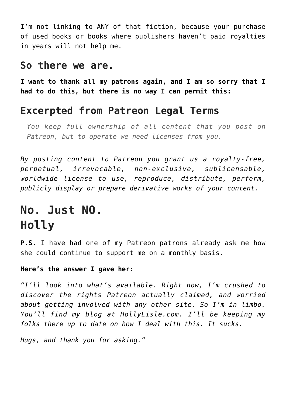I'm not linking to ANY of that fiction, because your purchase of used books or books where publishers haven't paid royalties in years will not help me.

#### **So there we are.**

**I want to thank all my patrons again, and I am so sorry that I had to do this, but there is no way I can permit this:**

### **Excerpted from Patreon Legal Terms**

*You keep full ownership of all content that you post on Patreon, but to operate we need licenses from you.*

*By posting content to Patreon you grant us a royalty-free, perpetual, irrevocable, non-exclusive, sublicensable, worldwide license to use, reproduce, distribute, perform, publicly display or prepare derivative works of your content.* 

## **No. Just NO. Holly**

**P.S.** I have had one of my Patreon patrons already ask me how she could continue to support me on a monthly basis.

#### **Here's the answer I gave her:**

*"I'll look into what's available. Right now, I'm crushed to discover the rights Patreon actually claimed, and worried about getting involved with any other site. So I'm in limbo. You'll find my blog at HollyLisle.com. I'll be keeping my folks there up to date on how I deal with this. It sucks.*

*Hugs, and thank you for asking."*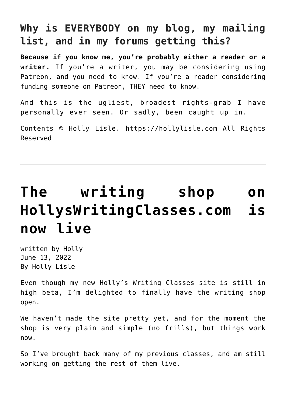### **Why is EVERYBODY on my blog, my mailing list, and in my forums getting this?**

**Because if you know me, you're probably either a reader or a writer.** If you're a writer, you may be considering using Patreon, and you need to know. If you're a reader considering funding someone on Patreon, THEY need to know.

And this is the ugliest, broadest rights-grab I have personally ever seen. Or sadly, been caught up in.

Contents © Holly Lisle. <https://hollylisle.com> All Rights Reserved

# **[The writing shop on](https://hollylisle.com/the-writing-shop-on-hollyswritingclasses-com-is-now-live/) [HollysWritingClasses.com is](https://hollylisle.com/the-writing-shop-on-hollyswritingclasses-com-is-now-live/) [now live](https://hollylisle.com/the-writing-shop-on-hollyswritingclasses-com-is-now-live/)**

written by Holly June 13, 2022 [By Holly Lisle](https://hollylisle.com)

Even though my new Holly's Writing Classes site is still in high beta, I'm delighted to [finally have the writing shop](https://hollyswritingclasses.com/index.php?page=shop) [open.](https://hollyswritingclasses.com/index.php?page=shop)

We haven't made the site pretty yet, and for the moment the shop is very plain and simple (no frills), but things work now.

So I've brought back many of my previous classes, and am still working on getting the rest of them live.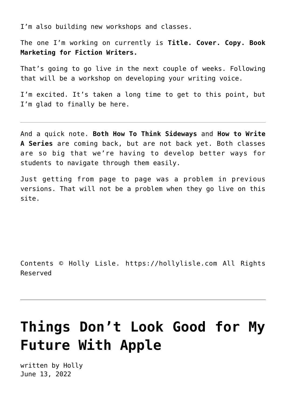I'm also building new workshops and classes.

The one I'm working on currently is **Title. Cover. Copy. Book Marketing for Fiction Writers.**

That's going to go live in the next couple of weeks. Following that will be a workshop on developing your writing voice.

I'm excited. It's taken a long time to get to this point, but I'm glad to finally be here.

And a quick note. **Both How To Think Sideways** and **How to Write A Series** are coming back, but are not back yet. Both classes are so big that we're having to develop better ways for students to navigate through them easily.

Just getting from page to page was a problem in previous versions. That will not be a problem when they go live on this site.

Contents © Holly Lisle. <https://hollylisle.com> All Rights Reserved

# **[Things Don't Look Good for My](https://hollylisle.com/things-dont-look-good-for-my-future-with-apple/) [Future With Apple](https://hollylisle.com/things-dont-look-good-for-my-future-with-apple/)**

written by Holly June 13, 2022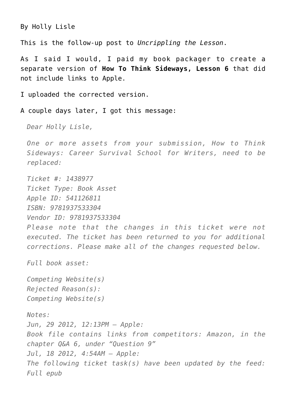[By Holly Lisle](https://hollylisle.com)

This is the follow-up post to *[Uncrippling the Lesson](https://hollylisle.com/uncrippling-the-lesson-the-aftermath/)*.

As I said I would, I paid my book packager to create a separate version of **How To Think Sideways, Lesson 6** that did not include links to Apple.

I uploaded the corrected version.

A couple days later, I got this message:

*Dear Holly Lisle,*

*One or more assets from your submission, How to Think Sideways: Career Survival School for Writers, need to be replaced:*

*Ticket #: 1438977 Ticket Type: Book Asset Apple ID: 541126811 ISBN: 9781937533304 Vendor ID: 9781937533304 Please note that the changes in this ticket were not executed. The ticket has been returned to you for additional corrections. Please make all of the changes requested below. Full book asset: Competing Website(s) Rejected Reason(s): Competing Website(s) Notes: Jun, 29 2012, 12:13PM – Apple: Book file contains links from competitors: Amazon, in the chapter Q&A 6, under "Question 9" Jul, 18 2012, 4:54AM – Apple: The following ticket task(s) have been updated by the feed: Full epub*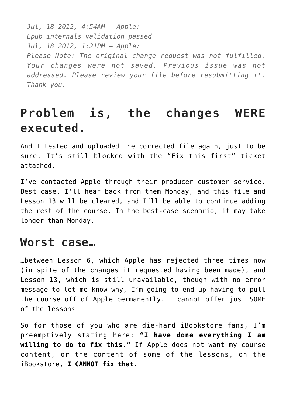*Jul, 18 2012, 4:54AM – Apple: Epub internals validation passed Jul, 18 2012, 1:21PM – Apple: Please Note: The original change request was not fulfilled. Your changes were not saved. Previous issue was not addressed. Please review your file before resubmitting it. Thank you.*

## **Problem is, the changes WERE executed.**

And I tested and uploaded the corrected file again, just to be sure. It's still blocked with the "Fix this first" ticket attached.

I've contacted Apple through their producer customer service. Best case, I'll hear back from them Monday, and this file and Lesson 13 will be cleared, and I'll be able to continue adding the rest of the course. In the best-case scenario, it may take longer than Monday.

### **Worst case…**

…between Lesson 6, which Apple has rejected three times now (in spite of the changes it requested having been made), and Lesson 13, which is still unavailable, though with no error message to let me know why, I'm going to end up having to pull the course off of Apple permanently. I cannot offer just SOME of the lessons.

So for those of you who are die-hard iBookstore fans, I'm preemptively stating here: **"I have done everything I am willing to do to fix this."** If Apple does not want my course content, or the content of some of the lessons, on the iBookstore, **I CANNOT fix that.**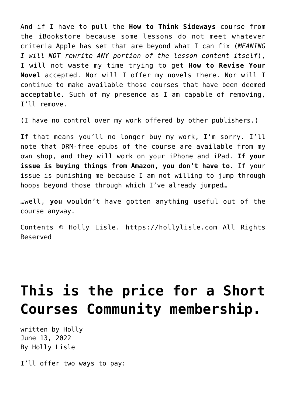And if I have to pull the **How to Think Sideways** course from the iBookstore because some lessons do not meet whatever criteria Apple has set that are beyond what I can fix (*MEANING I will NOT rewrite ANY portion of the lesson content itself*), I will not waste my time trying to get **How to Revise Your Novel** accepted. Nor will I offer my novels there. Nor will I continue to make available those courses that have been deemed acceptable. Such of my presence as I am capable of removing, I'll remove.

(I have no control over my work offered by other publishers.)

If that means you'll no longer buy my work, I'm sorry. I'll note that [DRM-free epubs of the course are available from my](http://howtothinksideways.com/shop/) [own shop](http://howtothinksideways.com/shop/), and they will work on your iPhone and iPad. **If your issue is buying things from Amazon, you don't have to.** If your issue is punishing me because I am not willing to jump through hoops beyond those through which I've already jumped…

…well, **you** wouldn't have gotten anything useful out of the course anyway.

Contents © Holly Lisle. <https://hollylisle.com> All Rights Reserved

# **[This is the price for a Short](https://hollylisle.com/this-is-the-price-for-a-short-courses-community-membership/) [Courses Community membership.](https://hollylisle.com/this-is-the-price-for-a-short-courses-community-membership/)**

written by Holly June 13, 2022 [By Holly Lisle](https://hollylisle.com)

I'll offer two ways to pay: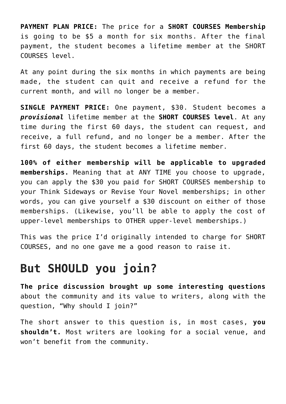**PAYMENT PLAN PRICE:** The price for a **[SHORT COURSES Membership](http://howtothinksideways.com/short-courses-intro/)** is going to be \$5 a month for six months. After the final payment, the student becomes a lifetime member at the SHORT COURSES level.

At any point during the six months in which payments are being made, the student can quit and receive a refund for the current month, and will no longer be a member.

**SINGLE PAYMENT PRICE:** One payment, \$30. Student becomes a *provisional* lifetime member at the **[SHORT COURSES level](http://howtothinksideways.com/short-courses-intro/)**. At any time during the first 60 days, the student can request, and receive, a full refund, and no longer be a member. After the first 60 days, the student becomes a lifetime member.

**100% of either membership will be applicable to upgraded memberships.** Meaning that at ANY TIME you choose to upgrade, you can apply the \$30 you paid for SHORT COURSES membership to your Think Sideways or Revise Your Novel memberships; in other words, you can give yourself a \$30 discount on either of those memberships. (Likewise, you'll be able to apply the cost of upper-level memberships to OTHER upper-level memberships.)

This was the price I'd originally intended to charge for SHORT COURSES, and no one gave me a good reason to raise it.

## **But SHOULD you join?**

**[The price discussion brought up some interesting questions](https://hollylisle.com/how-much-should-i-charge-for-writers-community-membership/)** about the community and its value to writers, along with the question, "Why should I join?"

The short answer to this question is, in most cases, **you shouldn't.** Most writers are looking for a social venue, and won't benefit from the community.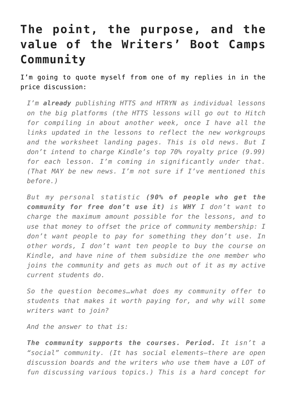## **The point, the purpose, and the value of the Writers' Boot Camps Community**

I'm going to quote myself from one of my replies in in the price discussion:

*I'm already publishing HTTS and HTRYN as individual lessons on the big platforms (the HTTS lessons will go out to Hitch for compiling in about another week, once I have all the links updated in the lessons to reflect the new workgroups and the worksheet landing pages. This is old news. But I don't intend to charge Kindle's top 70% royalty price (9.99) for each lesson. I'm coming in significantly under that. (That MAY be new news. I'm not sure if I've mentioned this before.)*

*But my personal statistic (90% of people who get the community for free don't use it) is WHY I don't want to charge the maximum amount possible for the lessons, and to use that money to offset the price of community membership: I don't want people to pay for something they don't use. In other words, I don't want ten people to buy the course on Kindle, and have nine of them subsidize the one member who joins the community and gets as much out of it as my active current students do.*

*So the question becomes…what does my community offer to students that makes it worth paying for, and why will some writers want to join?*

*And the answer to that is:*

*The community supports the courses. Period. It isn't a "social" community. (It has social elements–there are open discussion boards and the writers who use them have a LOT of fun discussing various topics.) This is a hard concept for*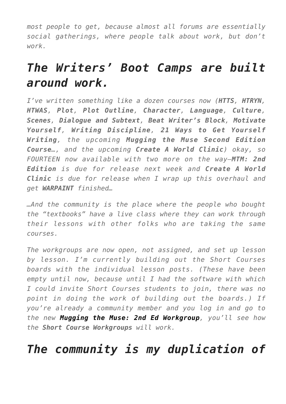*most people to get, because almost all forums are essentially social gatherings, where people talk about work, but don't work.*

## *The Writers' Boot Camps are built around work.*

*I've written something like a dozen courses now (HTTS, HTRYN, HTWAS, Plot, Plot Outline, Character, Language, Culture, Scenes, Dialogue and Subtext, Beat Writer's Block, Motivate Yourself, Writing Discipline, 21 Ways to Get Yourself Writing, the upcoming Mugging the Muse Second Edition Course…, and the upcoming Create A World Clinic) okay, so FOURTEEN now available with two more on the way—MTM: 2nd Edition is due for release next week and Create A World Clinic is due for release when I wrap up this overhaul and get WARPAINT finished…*

*…And the community is the place where the people who bought the "textbooks" have a live class where they can work through their lessons with other folks who are taking the same courses.*

*The workgroups are now open, not assigned, and set up lesson by lesson. I'm currently building out the Short Courses boards with the individual lesson posts. (These have been empty until now, because until I had the software with which I could invite Short Courses students to join, there was no point in doing the work of building out the boards.) If you're already a community member and you log in and go to the new [Mugging the Muse: 2nd Ed Workgroup](http://howtothinksideways.com/forum/viewforum.php?f=248), you'll see how the Short Course Workgroups will work.*

## *The community is my duplication of*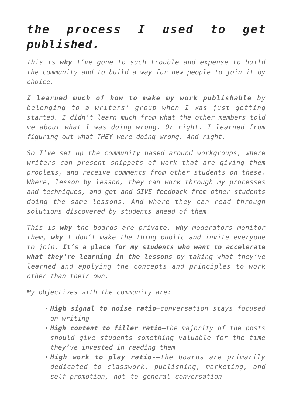## *the process I used to get published.*

*This is why I've gone to such trouble and expense to build the community and to build a way for new people to join it by choice.*

*I learned much of how to make my work publishable by belonging to a writers' group when I was just getting started. I didn't learn much from what the other members told me about what I was doing wrong. Or right. I learned from figuring out what THEY were doing wrong. And right.*

*So I've set up the community based around workgroups, where writers can present snippets of work that are giving them problems, and receive comments from other students on these. Where, lesson by lesson, they can work through my processes and techniques, and get and GIVE feedback from other students doing the same lessons. And where they can read through solutions discovered by students ahead of them.*

*This is why the boards are private, why moderators monitor them, why I don't make the thing public and invite everyone to join. It's a place for my students who want to accelerate what they're learning in the lessons by taking what they've learned and applying the concepts and principles to work other than their own.*

*My objectives with the community are:*

- *High signal to noise ratio—conversation stays focused on writing*
- *High content to filler ratio—the majority of the posts should give students something valuable for the time they've invested in reading them*
- *High work to play ratio-–the boards are primarily dedicated to classwork, publishing, marketing, and self-promotion, not to general conversation*